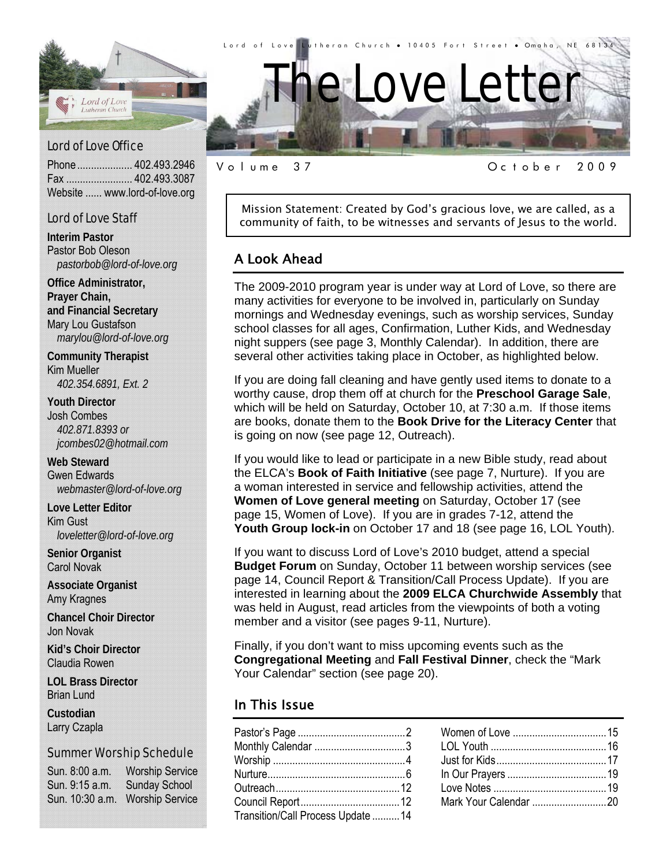

Phone .................... 402.493.2946 Fax ........................ 402.493.3087 Website ...... www.lord-of-love.org

#### Lord of Love Staff

**Interim Pastor**  Pastor Bob Oleson *pastorbob@lord-of-love.org* 

**Office Administrator, Prayer Chain, and Financial Secretary**  Mary Lou Gustafson *marylou@lord-of-love.org* 

**Community Therapist**  Kim Mueller *402.354.6891, Ext. 2* 

**Youth Director**  Josh Combes *402.871.8393 or jcombes02@hotmail.com* 

**Web Steward**  Gwen Edwards *webmaster@lord-of-love.org* 

**Love Letter Editor**  Kim Gust *loveletter@lord-of-love.org* 

**Senior Organist**  Carol Novak

**Associate Organist**  Amy Kragnes

**Chancel Choir Director**  Jon Novak

**Kid's Choir Director**  Claudia Rowen

**LOL Brass Director**  Brian Lund

**Custodian**  Larry Czapla

#### Summer Worship Schedule

Sun. 8:00 a.m. Worship Service Sun. 9:15 a.m. Sunday School Sun. 10:30 a.m. Worship Service

Volume 37 October 2009

Mission Statement: Created by God's gracious love, we are called, as a community of faith, to be witnesses and servants of Jesus to the world.

#### A Look Ahead

The 2009-2010 program year is under way at Lord of Love, so there are many activities for everyone to be involved in, particularly on Sunday mornings and Wednesday evenings, such as worship services, Sunday school classes for all ages, Confirmation, Luther Kids, and Wednesday night suppers (see page 3, Monthly Calendar). In addition, there are several other activities taking place in October, as highlighted below.

If you are doing fall cleaning and have gently used items to donate to a worthy cause, drop them off at church for the **Preschool Garage Sale**, which will be held on Saturday, October 10, at 7:30 a.m. If those items are books, donate them to the **Book Drive for the Literacy Center** that is going on now (see page 12, Outreach).

If you would like to lead or participate in a new Bible study, read about the ELCA's **Book of Faith Initiative** (see page 7, Nurture). If you are a woman interested in service and fellowship activities, attend the **Women of Love general meeting** on Saturday, October 17 (see page 15, Women of Love). If you are in grades 7-12, attend the **Youth Group lock-in** on October 17 and 18 (see page 16, LOL Youth).

If you want to discuss Lord of Love's 2010 budget, attend a special **Budget Forum** on Sunday, October 11 between worship services (see page 14, Council Report & Transition/Call Process Update). If you are interested in learning about the **2009 ELCA Churchwide Assembly** that was held in August, read articles from the viewpoints of both a voting member and a visitor (see pages 9-11, Nurture).

Finally, if you don't want to miss upcoming events such as the **Congregational Meeting** and **Fall Festival Dinner**, check the "Mark Your Calendar" section (see page 20).

#### In This Issue

| Monthly Calendar 3                 |  |
|------------------------------------|--|
|                                    |  |
|                                    |  |
|                                    |  |
|                                    |  |
| Transition/Call Process Update  14 |  |
|                                    |  |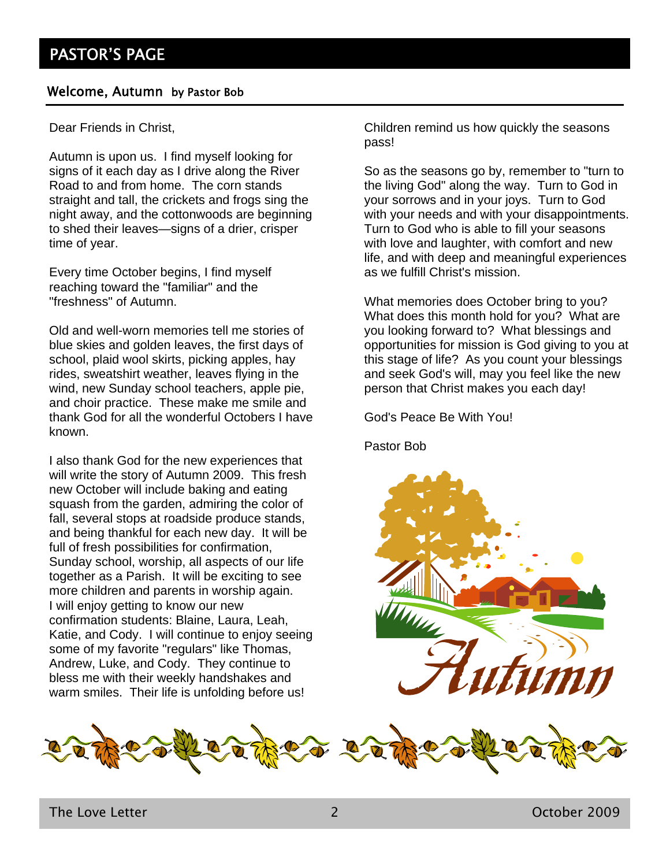#### Welcome, Autumn by Pastor Bob

Dear Friends in Christ,

Autumn is upon us. I find myself looking for signs of it each day as I drive along the River Road to and from home. The corn stands straight and tall, the crickets and frogs sing the night away, and the cottonwoods are beginning to shed their leaves—signs of a drier, crisper time of year.

Every time October begins, I find myself reaching toward the "familiar" and the "freshness" of Autumn.

Old and well-worn memories tell me stories of blue skies and golden leaves, the first days of school, plaid wool skirts, picking apples, hay rides, sweatshirt weather, leaves flying in the wind, new Sunday school teachers, apple pie, and choir practice. These make me smile and thank God for all the wonderful Octobers I have known.

I also thank God for the new experiences that will write the story of Autumn 2009. This fresh new October will include baking and eating squash from the garden, admiring the color of fall, several stops at roadside produce stands, and being thankful for each new day. It will be full of fresh possibilities for confirmation, Sunday school, worship, all aspects of our life together as a Parish. It will be exciting to see more children and parents in worship again. I will enjoy getting to know our new confirmation students: Blaine, Laura, Leah, Katie, and Cody. I will continue to enjoy seeing some of my favorite "regulars" like Thomas, Andrew, Luke, and Cody. They continue to bless me with their weekly handshakes and warm smiles. Their life is unfolding before us!

Children remind us how quickly the seasons pass!

So as the seasons go by, remember to "turn to the living God" along the way. Turn to God in your sorrows and in your joys. Turn to God with your needs and with your disappointments. Turn to God who is able to fill your seasons with love and laughter, with comfort and new life, and with deep and meaningful experiences as we fulfill Christ's mission.

What memories does October bring to you? What does this month hold for you? What are you looking forward to? What blessings and opportunities for mission is God giving to you at this stage of life? As you count your blessings and seek God's will, may you feel like the new person that Christ makes you each day!

God's Peace Be With You!

Pastor Bob



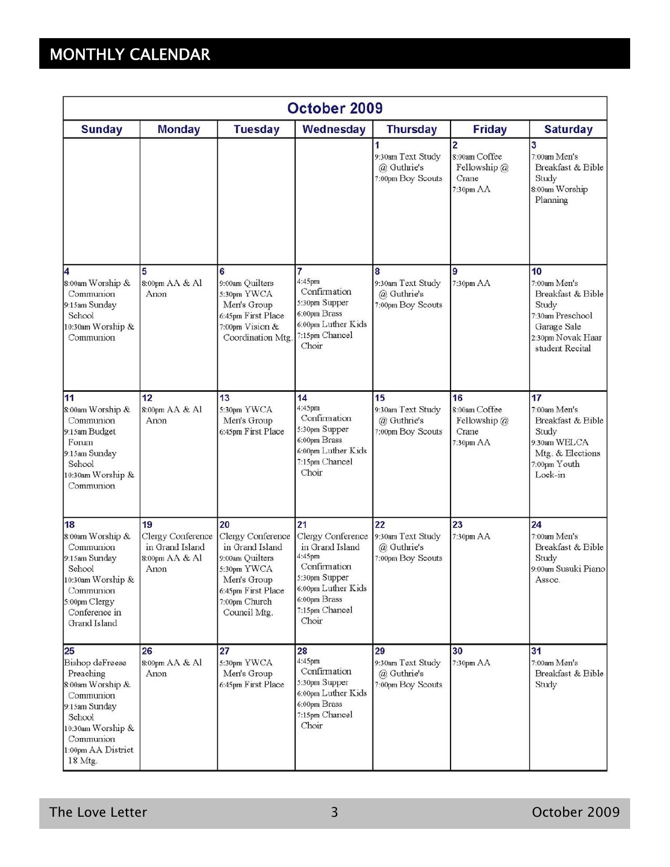# MONTHLY CALENDAR

| October 2009                                                                                                                                                             |                                                                      |                                                                                                                                                    |                                                                                                                                                        |                                                             |                                                             |                                                                                                                             |
|--------------------------------------------------------------------------------------------------------------------------------------------------------------------------|----------------------------------------------------------------------|----------------------------------------------------------------------------------------------------------------------------------------------------|--------------------------------------------------------------------------------------------------------------------------------------------------------|-------------------------------------------------------------|-------------------------------------------------------------|-----------------------------------------------------------------------------------------------------------------------------|
| <b>Sunday</b>                                                                                                                                                            | <b>Monday</b>                                                        | <b>Tuesday</b>                                                                                                                                     | Wednesday                                                                                                                                              | <b>Thursday</b>                                             | <b>Friday</b>                                               | <b>Saturday</b>                                                                                                             |
|                                                                                                                                                                          |                                                                      |                                                                                                                                                    |                                                                                                                                                        | 9:30am Text Study<br>@ Guthrie's<br>7:00pm Boy Scouts       | 2<br>8:00am Coffee<br>Fellowship @<br>Crane<br>7:30pm AA    | 3<br>7:00am Men's<br>Breakfast & Bible<br>Study<br>8:00am Worship<br>Planning                                               |
| 4<br>8:00am Worship &<br>Communion<br>9:15am Sunday<br>School<br>10:30am Worship &<br>Communion                                                                          | 5<br>8:00pm AA & Al<br>Anon                                          | 6<br>9:00am Quilters<br>5:30pm YWCA<br>Men's Group<br>6:45pm First Place<br>7:00pm Vision &<br>Coordination Mtg                                    | 7<br>4:45pm<br>Confirmation<br>5:30pm Supper<br>6:00pm Brass<br>6:00pm Luther Kids<br>7:15pm Chancel<br>Choir                                          | 8<br>9:30am Text Study<br>@ Guthrie's<br>7:00pm Boy Scouts  | 9<br>7:30pm AA                                              | 10<br>7:00am Men's<br>Breakfast & Bible<br>Study<br>7:30am Preschool<br>Garage Sale<br>2:30pm Novak Haar<br>student Recital |
| 11<br>8:00am Worship &<br>Communion<br>9:15am Budget<br>Forum<br>9:15am Sunday<br>School<br>10:30am Worship &<br>Communion                                               | 12<br>8:00pm AA & Al<br>Anon                                         | 13<br>5:30pm YWCA<br>Men's Group<br>6:45pm First Place                                                                                             | 14<br>4:45pm<br>Confirmation<br>5:30pm Supper<br>6:00pm Brass<br>6:00pm Luther Kids<br>7:15pm Chancel<br>Choir                                         | 15<br>9:30am Text Study<br>@ Guthrie's<br>7:00pm Boy Scouts | 16<br>8:00am Coffee<br>Fellowship $@$<br>Crane<br>7:30pm AA | 17<br>7:00am Men's<br>Breakfast & Bible<br>Study<br>9:30am WELCA<br>Mtg. & Elections<br>7:00pm Youth<br>Lock-in             |
| 18<br>8:00am Worship &<br>Communion<br>9:15am Sunday<br>School<br>10:30am Worship &<br>Communion<br>5:00pm Clergy<br>Conference in<br>Grand Island                       | 19<br>Clergy Conference<br>in Grand Island<br>8:00pm AA & Al<br>Anon | 20<br>Clergy Conference<br>in Grand Island<br>9:00am Quilters<br>5:30pm YWCA<br>Men's Group<br>6:45pm First Place<br>7:00pm Church<br>Council Mtg. | 21<br>Clergy Conference<br>in Grand Island<br>4:45pm<br>Confirmation<br>5:30pm Supper<br>6:00pm Luther Kids<br>6:00pm Brass<br>7:15pm Chancel<br>Choir | 22<br>9:30am Text Study<br>@ Guthrie's<br>7:00pm Boy Scouts | 23<br>7:30pm AA                                             | 24<br>7:00am Men's<br>Breakfast & Bible<br>Study<br>9:00am Susuki Piano<br>Assoc.                                           |
| 25<br><b>Bishop</b> deFreese<br>Preaching<br>8:00am Worship &<br>Communion<br>9:15am Sunday<br>School<br>10:30am Worship &<br>Communion<br>1:00pm AA District<br>18 Mtg. | 26<br>8:00pm AA & Al<br>Anon                                         | 27<br>5:30pm YWCA<br>Men's Group<br>6:45pm First Place                                                                                             | 28<br>4:45pm<br>Confirmation<br>5:30pm Supper<br>6:00pm Luther Kids<br>6:00pm Brass<br>7:15pm Chancel<br>Choir                                         | 29<br>9:30am Text Study<br>@ Guthrie's<br>7:00pm Boy Scouts | 30<br>7:30pm AA                                             | 31<br>7:00am Men's<br>Breakfast & Bible<br>Study                                                                            |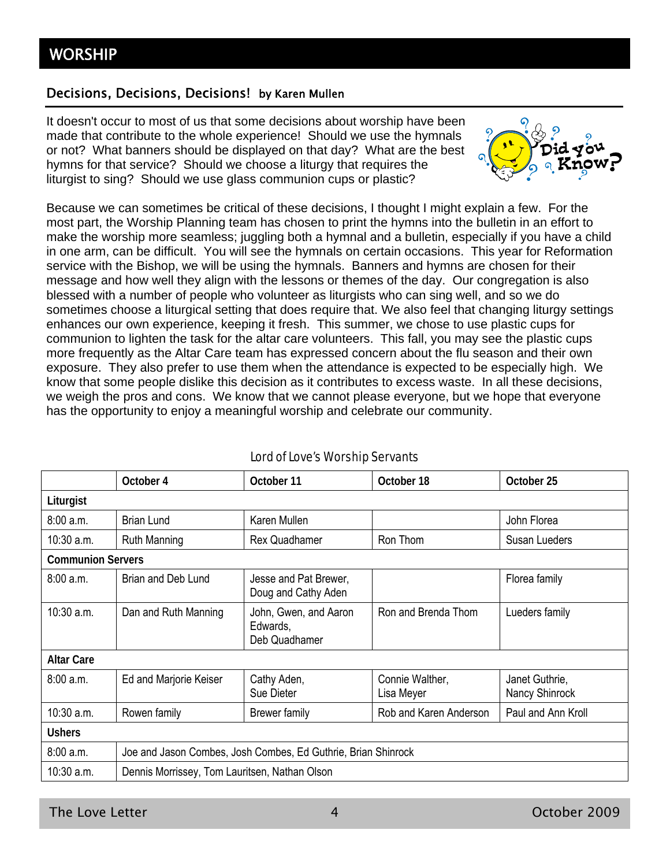#### Decisions, Decisions, Decisions! by Karen Mullen

It doesn't occur to most of us that some decisions about worship have been made that contribute to the whole experience! Should we use the hymnals or not? What banners should be displayed on that day? What are the best hymns for that service? Should we choose a liturgy that requires the liturgist to sing? Should we use glass communion cups or plastic?



Because we can sometimes be critical of these decisions, I thought I might explain a few. For the most part, the Worship Planning team has chosen to print the hymns into the bulletin in an effort to make the worship more seamless; juggling both a hymnal and a bulletin, especially if you have a child in one arm, can be difficult. You will see the hymnals on certain occasions. This year for Reformation service with the Bishop, we will be using the hymnals. Banners and hymns are chosen for their message and how well they align with the lessons or themes of the day. Our congregation is also blessed with a number of people who volunteer as liturgists who can sing well, and so we do sometimes choose a liturgical setting that does require that. We also feel that changing liturgy settings enhances our own experience, keeping it fresh. This summer, we chose to use plastic cups for communion to lighten the task for the altar care volunteers. This fall, you may see the plastic cups more frequently as the Altar Care team has expressed concern about the flu season and their own exposure. They also prefer to use them when the attendance is expected to be especially high. We know that some people dislike this decision as it contributes to excess waste. In all these decisions, we weigh the pros and cons. We know that we cannot please everyone, but we hope that everyone has the opportunity to enjoy a meaningful worship and celebrate our community.

|                          | October 4                                                     | October 11                                         | October 18                    | October 25                       |
|--------------------------|---------------------------------------------------------------|----------------------------------------------------|-------------------------------|----------------------------------|
| Liturgist                |                                                               |                                                    |                               |                                  |
| 8:00a.m.                 | <b>Brian Lund</b>                                             | Karen Mullen                                       |                               | John Florea                      |
| 10:30 a.m.               | <b>Ruth Manning</b>                                           | Rex Quadhamer                                      | Ron Thom                      | Susan Lueders                    |
| <b>Communion Servers</b> |                                                               |                                                    |                               |                                  |
| 8:00 a.m.                | Brian and Deb Lund                                            | Jesse and Pat Brewer,<br>Doug and Cathy Aden       |                               | Florea family                    |
| $10:30$ a.m.             | Dan and Ruth Manning                                          | John, Gwen, and Aaron<br>Edwards,<br>Deb Quadhamer | Ron and Brenda Thom           | Lueders family                   |
| <b>Altar Care</b>        |                                                               |                                                    |                               |                                  |
| 8:00 a.m.                | Ed and Marjorie Keiser                                        | Cathy Aden,<br>Sue Dieter                          | Connie Walther,<br>Lisa Meyer | Janet Guthrie,<br>Nancy Shinrock |
| 10:30 a.m.               | Rowen family                                                  | Brewer family                                      | Rob and Karen Anderson        | Paul and Ann Kroll               |
| <b>Ushers</b>            |                                                               |                                                    |                               |                                  |
| 8:00 a.m.                | Joe and Jason Combes, Josh Combes, Ed Guthrie, Brian Shinrock |                                                    |                               |                                  |
| 10:30 a.m.               | Dennis Morrissey, Tom Lauritsen, Nathan Olson                 |                                                    |                               |                                  |

### Lord of Love's Worship Servants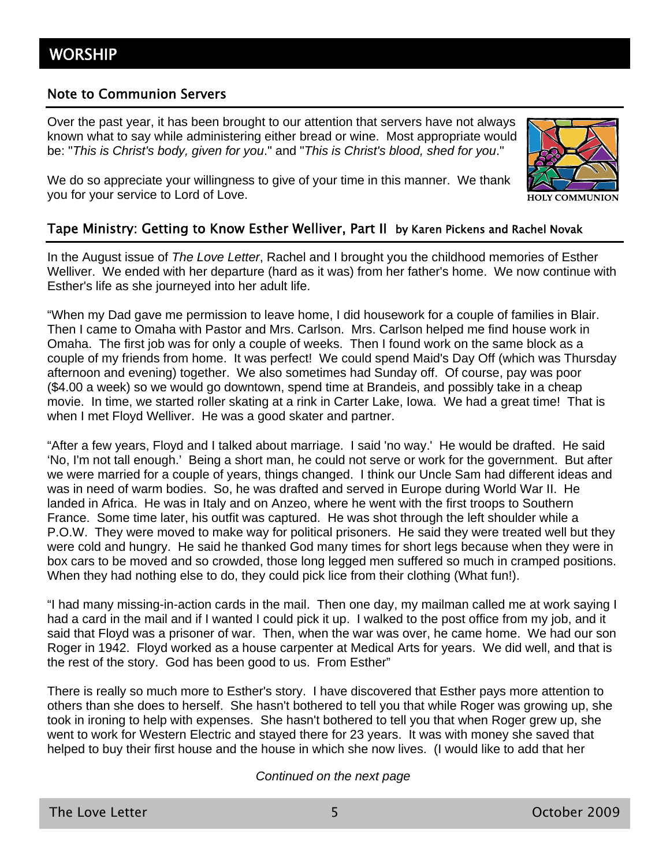#### Note to Communion Servers

Over the past year, it has been brought to our attention that servers have not always known what to say while administering either bread or wine. Most appropriate would be: "*This is Christ's body, given for you*." and "*This is Christ's blood, shed for you*."



We do so appreciate your willingness to give of your time in this manner. We thank you for your service to Lord of Love.

#### Tape Ministry: Getting to Know Esther Welliver, Part II by Karen Pickens and Rachel Novak

In the August issue of *The Love Letter*, Rachel and I brought you the childhood memories of Esther Welliver. We ended with her departure (hard as it was) from her father's home. We now continue with Esther's life as she journeyed into her adult life.

"When my Dad gave me permission to leave home, I did housework for a couple of families in Blair. Then I came to Omaha with Pastor and Mrs. Carlson. Mrs. Carlson helped me find house work in Omaha. The first job was for only a couple of weeks. Then I found work on the same block as a couple of my friends from home. It was perfect! We could spend Maid's Day Off (which was Thursday afternoon and evening) together. We also sometimes had Sunday off. Of course, pay was poor (\$4.00 a week) so we would go downtown, spend time at Brandeis, and possibly take in a cheap movie. In time, we started roller skating at a rink in Carter Lake, Iowa. We had a great time! That is when I met Floyd Welliver. He was a good skater and partner.

"After a few years, Floyd and I talked about marriage. I said 'no way.' He would be drafted. He said 'No, I'm not tall enough.' Being a short man, he could not serve or work for the government. But after we were married for a couple of years, things changed. I think our Uncle Sam had different ideas and was in need of warm bodies. So, he was drafted and served in Europe during World War II. He landed in Africa. He was in Italy and on Anzeo, where he went with the first troops to Southern France. Some time later, his outfit was captured. He was shot through the left shoulder while a P.O.W. They were moved to make way for political prisoners. He said they were treated well but they were cold and hungry. He said he thanked God many times for short legs because when they were in box cars to be moved and so crowded, those long legged men suffered so much in cramped positions. When they had nothing else to do, they could pick lice from their clothing (What fun!).

"I had many missing-in-action cards in the mail. Then one day, my mailman called me at work saying I had a card in the mail and if I wanted I could pick it up. I walked to the post office from my job, and it said that Floyd was a prisoner of war. Then, when the war was over, he came home. We had our son Roger in 1942. Floyd worked as a house carpenter at Medical Arts for years. We did well, and that is the rest of the story. God has been good to us. From Esther"

There is really so much more to Esther's story. I have discovered that Esther pays more attention to others than she does to herself. She hasn't bothered to tell you that while Roger was growing up, she took in ironing to help with expenses. She hasn't bothered to tell you that when Roger grew up, she went to work for Western Electric and stayed there for 23 years. It was with money she saved that helped to buy their first house and the house in which she now lives. (I would like to add that her

#### *Continued on the next page*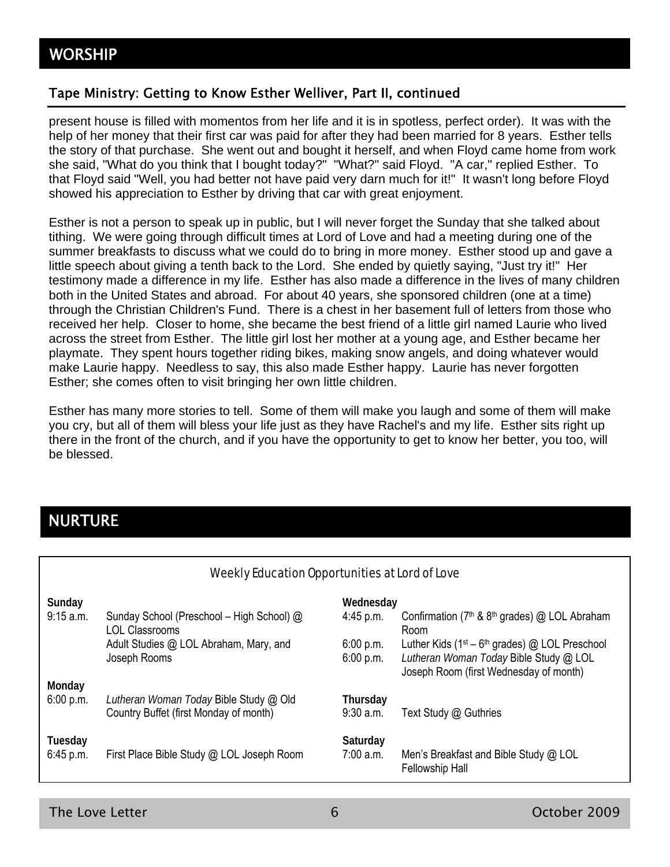#### Tape Ministry: Getting to Know Esther Welliver, Part II, continued

present house is filled with momentos from her life and it is in spotless, perfect order). It was with the help of her money that their first car was paid for after they had been married for 8 years. Esther tells the story of that purchase. She went out and bought it herself, and when Floyd came home from work she said, "What do you think that I bought today?" "What?" said Floyd. "A car," replied Esther. To that Floyd said "Well, you had better not have paid very darn much for it!" It wasn't long before Floyd showed his appreciation to Esther by driving that car with great enjoyment.

Esther is not a person to speak up in public, but I will never forget the Sunday that she talked about tithing. We were going through difficult times at Lord of Love and had a meeting during one of the summer breakfasts to discuss what we could do to bring in more money. Esther stood up and gave a little speech about giving a tenth back to the Lord. She ended by quietly saying, "Just try it!" Her testimony made a difference in my life. Esther has also made a difference in the lives of many children both in the United States and abroad. For about 40 years, she sponsored children (one at a time) through the Christian Children's Fund. There is a chest in her basement full of letters from those who received her help. Closer to home, she became the best friend of a little girl named Laurie who lived across the street from Esther. The little girl lost her mother at a young age, and Esther became her playmate. They spent hours together riding bikes, making snow angels, and doing whatever would make Laurie happy. Needless to say, this also made Esther happy. Laurie has never forgotten Esther; she comes often to visit bringing her own little children.

Esther has many more stories to tell. Some of them will make you laugh and some of them will make you cry, but all of them will bless your life just as they have Rachel's and my life. Esther sits right up there in the front of the church, and if you have the opportunity to get to know her better, you too, will be blessed.

## NURTURE

| Weekly Education Opportunities at Lord of Love |                                                                                  |                         |                                                                                                                                       |  |
|------------------------------------------------|----------------------------------------------------------------------------------|-------------------------|---------------------------------------------------------------------------------------------------------------------------------------|--|
| Sunday                                         |                                                                                  | Wednesday               |                                                                                                                                       |  |
| 9:15 a.m.                                      | Sunday School (Preschool – High School) @<br>LOL Classrooms                      | $4:45$ p.m.             | Confirmation ( $7th$ & $8th$ grades) @ LOL Abraham<br>Room                                                                            |  |
|                                                | Adult Studies @ LOL Abraham, Mary, and<br>Joseph Rooms                           | 6:00 p.m.<br>6:00 p.m.  | Luther Kids ( $1st - 6th$ grades) @ LOL Preschool<br>Lutheran Woman Today Bible Study @ LOL<br>Joseph Room (first Wednesday of month) |  |
| Monday                                         |                                                                                  |                         |                                                                                                                                       |  |
| 6:00 p.m.                                      | Lutheran Woman Today Bible Study @ Old<br>Country Buffet (first Monday of month) | Thursday<br>$9:30$ a.m. | Text Study @ Guthries                                                                                                                 |  |
| Tuesday<br>6:45 p.m.                           | First Place Bible Study @ LOL Joseph Room                                        | Saturday<br>7:00 a.m.   | Men's Breakfast and Bible Study @ LOL<br><b>Fellowship Hall</b>                                                                       |  |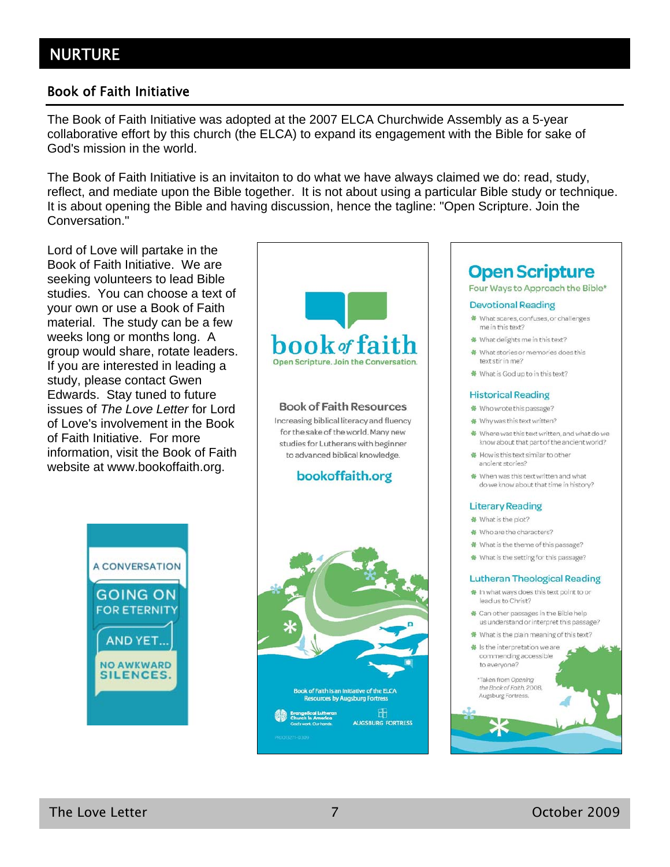### Book of Faith Initiative

The Book of Faith Initiative was adopted at the 2007 ELCA Churchwide Assembly as a 5-year collaborative effort by this church (the ELCA) to expand its engagement with the Bible for sake of God's mission in the world.

The Book of Faith Initiative is an invitaiton to do what we have always claimed we do: read, study, reflect, and mediate upon the Bible together. It is not about using a particular Bible study or technique. It is about opening the Bible and having discussion, hence the tagline: "Open Scripture. Join the Conversation."

Lord of Love will partake in the Book of Faith Initiative. We are seeking volunteers to lead Bible studies. You can choose a text of your own or use a Book of Faith material. The study can be a few weeks long or months long. A group would share, rotate leaders. If you are interested in leading a study, please contact Gwen Edwards. Stay tuned to future issues of *The Love Letter* for Lord of Love's involvement in the Book of Faith Initiative. For more information, visit the Book of Faith website at www.bookoffaith.org.



#### **Book of Faith Resources**

Increasing biblical literacy and fluency for the sake of the world. Many new studies for Lutherans with beginner to advanced biblical knowledge.

#### bookoffaith.org





# **Open Scripture**

### Four Ways to Approach the Bible\*

#### **Devotional Reading**

- \* What scares, confuses, or challenges me in this text?
- \* What delights me in this text?
- ₩ What stories or memories does this text stir in me?
- ₩ What is God up to in this text?

#### **Historical Reading**

- **参** Who wrote this passage?
- \* Why was this text written?
- \* Where was this text written, and what do we know about that part of the ancient world?
- ₩ How is this text similar to other ancient stories?
- ₩ When was this text written and what do we know about that time in history?

#### **Literary Reading**

- ₩ What is the plot?
- ₩ Who are the characters?
- \* What is the theme of this passage?
- \* What is the setting for this passage?

#### **Lutheran Theological Reading**

- ₩ In what ways does this text point to or lead us to Christ?
- + Can other passages in the Bible help us understand or interpret this passage?
- ₩ What is the plain meaning of this text?
- **#** Is the interpretation we are commending accessible to everyone?

\*Taken from Opening the Book of Faith, 2008, Augsburg Fortress.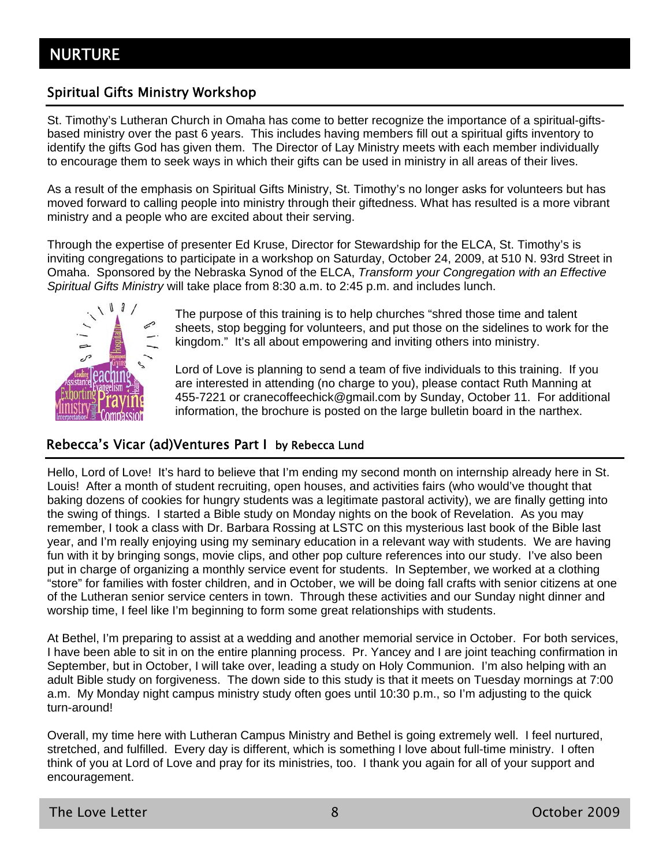### Spiritual Gifts Ministry Workshop

St. Timothy's Lutheran Church in Omaha has come to better recognize the importance of a spiritual-giftsbased ministry over the past 6 years. This includes having members fill out a spiritual gifts inventory to identify the gifts God has given them. The Director of Lay Ministry meets with each member individually to encourage them to seek ways in which their gifts can be used in ministry in all areas of their lives.

As a result of the emphasis on Spiritual Gifts Ministry, St. Timothy's no longer asks for volunteers but has moved forward to calling people into ministry through their giftedness. What has resulted is a more vibrant ministry and a people who are excited about their serving.

Through the expertise of presenter Ed Kruse, Director for Stewardship for the ELCA, St. Timothy's is inviting congregations to participate in a workshop on Saturday, October 24, 2009, at 510 N. 93rd Street in Omaha. Sponsored by the Nebraska Synod of the ELCA, *Transform your Congregation with an Effective Spiritual Gifts Ministry* will take place from 8:30 a.m. to 2:45 p.m. and includes lunch.



The purpose of this training is to help churches "shred those time and talent sheets, stop begging for volunteers, and put those on the sidelines to work for the kingdom." It's all about empowering and inviting others into ministry.

Lord of Love is planning to send a team of five individuals to this training. If you are interested in attending (no charge to you), please contact Ruth Manning at 455-7221 or cranecoffeechick@gmail.com by Sunday, October 11. For additional information, the brochure is posted on the large bulletin board in the narthex.

#### Rebecca's Vicar (ad)Ventures Part I by Rebecca Lund

Hello, Lord of Love! It's hard to believe that I'm ending my second month on internship already here in St. Louis! After a month of student recruiting, open houses, and activities fairs (who would've thought that baking dozens of cookies for hungry students was a legitimate pastoral activity), we are finally getting into the swing of things. I started a Bible study on Monday nights on the book of Revelation. As you may remember, I took a class with Dr. Barbara Rossing at LSTC on this mysterious last book of the Bible last year, and I'm really enjoying using my seminary education in a relevant way with students. We are having fun with it by bringing songs, movie clips, and other pop culture references into our study. I've also been put in charge of organizing a monthly service event for students. In September, we worked at a clothing "store" for families with foster children, and in October, we will be doing fall crafts with senior citizens at one of the Lutheran senior service centers in town. Through these activities and our Sunday night dinner and worship time, I feel like I'm beginning to form some great relationships with students.

At Bethel, I'm preparing to assist at a wedding and another memorial service in October. For both services, I have been able to sit in on the entire planning process. Pr. Yancey and I are joint teaching confirmation in September, but in October, I will take over, leading a study on Holy Communion. I'm also helping with an adult Bible study on forgiveness. The down side to this study is that it meets on Tuesday mornings at 7:00 a.m. My Monday night campus ministry study often goes until 10:30 p.m., so I'm adjusting to the quick turn-around!

Overall, my time here with Lutheran Campus Ministry and Bethel is going extremely well. I feel nurtured, stretched, and fulfilled. Every day is different, which is something I love about full-time ministry. I often think of you at Lord of Love and pray for its ministries, too. I thank you again for all of your support and encouragement.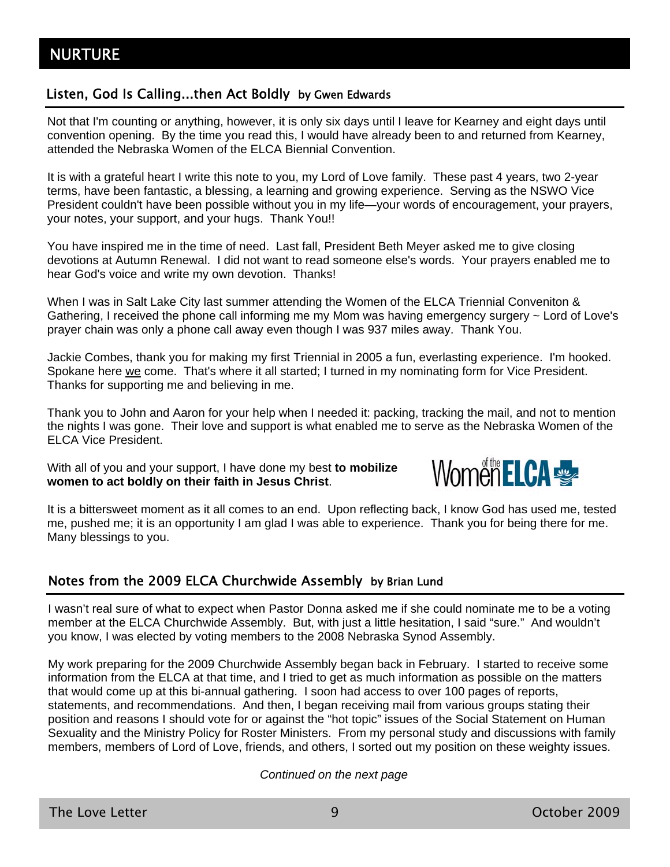### Listen, God Is Calling...then Act Boldly by Gwen Edwards

Not that I'm counting or anything, however, it is only six days until I leave for Kearney and eight days until convention opening. By the time you read this, I would have already been to and returned from Kearney, attended the Nebraska Women of the ELCA Biennial Convention.

It is with a grateful heart I write this note to you, my Lord of Love family. These past 4 years, two 2-year terms, have been fantastic, a blessing, a learning and growing experience. Serving as the NSWO Vice President couldn't have been possible without you in my life—your words of encouragement, your prayers, your notes, your support, and your hugs. Thank You!!

You have inspired me in the time of need. Last fall, President Beth Meyer asked me to give closing devotions at Autumn Renewal. I did not want to read someone else's words. Your prayers enabled me to hear God's voice and write my own devotion. Thanks!

When I was in Salt Lake City last summer attending the Women of the ELCA Triennial Conveniton & Gathering, I received the phone call informing me my Mom was having emergency surgery ~ Lord of Love's prayer chain was only a phone call away even though I was 937 miles away. Thank You.

Jackie Combes, thank you for making my first Triennial in 2005 a fun, everlasting experience. I'm hooked. Spokane here we come. That's where it all started; I turned in my nominating form for Vice President. Thanks for supporting me and believing in me.

Thank you to John and Aaron for your help when I needed it: packing, tracking the mail, and not to mention the nights I was gone. Their love and support is what enabled me to serve as the Nebraska Women of the ELCA Vice President.

With all of you and your support, I have done my best **to mobilize women to act boldly on their faith in Jesus Christ**.



It is a bittersweet moment as it all comes to an end. Upon reflecting back, I know God has used me, tested me, pushed me; it is an opportunity I am glad I was able to experience. Thank you for being there for me. Many blessings to you.

### Notes from the 2009 ELCA Churchwide Assembly by Brian Lund

I wasn't real sure of what to expect when Pastor Donna asked me if she could nominate me to be a voting member at the ELCA Churchwide Assembly. But, with just a little hesitation, I said "sure." And wouldn't you know, I was elected by voting members to the 2008 Nebraska Synod Assembly.

My work preparing for the 2009 Churchwide Assembly began back in February. I started to receive some information from the ELCA at that time, and I tried to get as much information as possible on the matters that would come up at this bi-annual gathering. I soon had access to over 100 pages of reports, statements, and recommendations. And then, I began receiving mail from various groups stating their position and reasons I should vote for or against the "hot topic" issues of the Social Statement on Human Sexuality and the Ministry Policy for Roster Ministers. From my personal study and discussions with family members, members of Lord of Love, friends, and others, I sorted out my position on these weighty issues.

*Continued on the next page*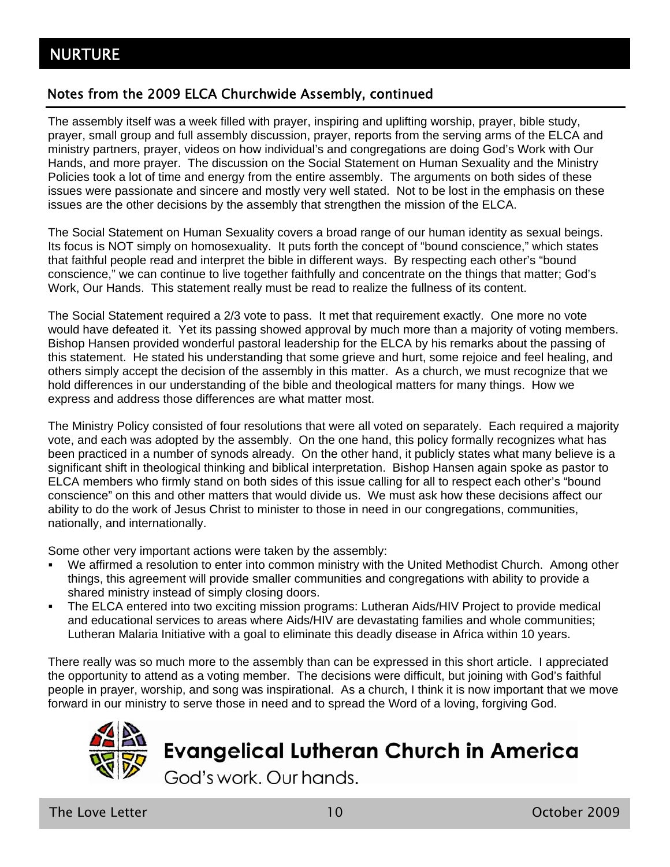### Notes from the 2009 ELCA Churchwide Assembly, continued

The assembly itself was a week filled with prayer, inspiring and uplifting worship, prayer, bible study, prayer, small group and full assembly discussion, prayer, reports from the serving arms of the ELCA and ministry partners, prayer, videos on how individual's and congregations are doing God's Work with Our Hands, and more prayer. The discussion on the Social Statement on Human Sexuality and the Ministry Policies took a lot of time and energy from the entire assembly. The arguments on both sides of these issues were passionate and sincere and mostly very well stated. Not to be lost in the emphasis on these issues are the other decisions by the assembly that strengthen the mission of the ELCA.

The Social Statement on Human Sexuality covers a broad range of our human identity as sexual beings. Its focus is NOT simply on homosexuality. It puts forth the concept of "bound conscience," which states that faithful people read and interpret the bible in different ways. By respecting each other's "bound conscience," we can continue to live together faithfully and concentrate on the things that matter; God's Work, Our Hands. This statement really must be read to realize the fullness of its content.

The Social Statement required a 2/3 vote to pass. It met that requirement exactly. One more no vote would have defeated it. Yet its passing showed approval by much more than a majority of voting members. Bishop Hansen provided wonderful pastoral leadership for the ELCA by his remarks about the passing of this statement. He stated his understanding that some grieve and hurt, some rejoice and feel healing, and others simply accept the decision of the assembly in this matter. As a church, we must recognize that we hold differences in our understanding of the bible and theological matters for many things. How we express and address those differences are what matter most.

The Ministry Policy consisted of four resolutions that were all voted on separately. Each required a majority vote, and each was adopted by the assembly. On the one hand, this policy formally recognizes what has been practiced in a number of synods already. On the other hand, it publicly states what many believe is a significant shift in theological thinking and biblical interpretation. Bishop Hansen again spoke as pastor to ELCA members who firmly stand on both sides of this issue calling for all to respect each other's "bound conscience" on this and other matters that would divide us. We must ask how these decisions affect our ability to do the work of Jesus Christ to minister to those in need in our congregations, communities, nationally, and internationally.

Some other very important actions were taken by the assembly:

- We affirmed a resolution to enter into common ministry with the United Methodist Church. Among other things, this agreement will provide smaller communities and congregations with ability to provide a shared ministry instead of simply closing doors.
- The ELCA entered into two exciting mission programs: Lutheran Aids/HIV Project to provide medical and educational services to areas where Aids/HIV are devastating families and whole communities; Lutheran Malaria Initiative with a goal to eliminate this deadly disease in Africa within 10 years.

There really was so much more to the assembly than can be expressed in this short article. I appreciated the opportunity to attend as a voting member. The decisions were difficult, but joining with God's faithful people in prayer, worship, and song was inspirational. As a church, I think it is now important that we move forward in our ministry to serve those in need and to spread the Word of a loving, forgiving God.



The Love Letter 10 October 2009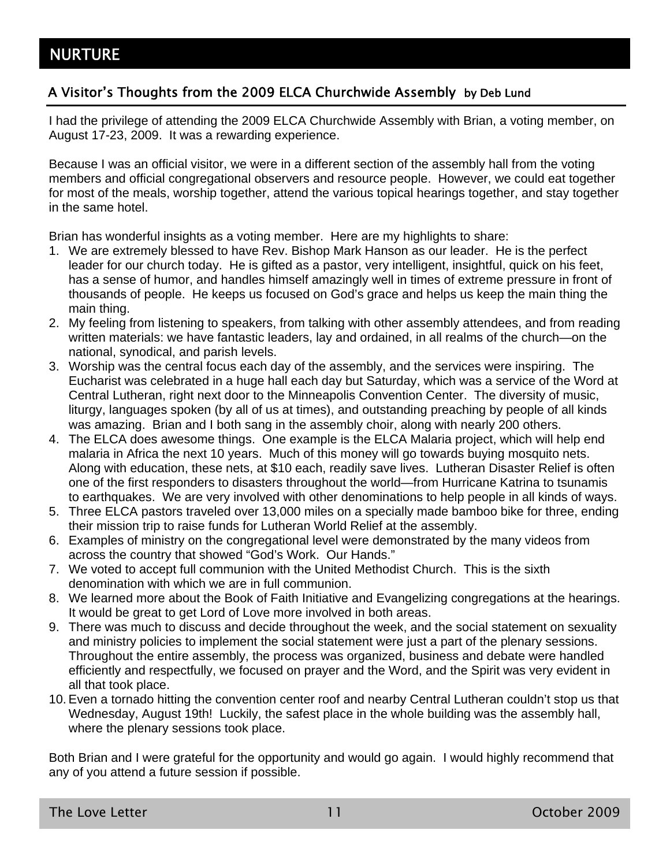### A Visitor's Thoughts from the 2009 ELCA Churchwide Assembly by Deb Lund

I had the privilege of attending the 2009 ELCA Churchwide Assembly with Brian, a voting member, on August 17-23, 2009. It was a rewarding experience.

Because I was an official visitor, we were in a different section of the assembly hall from the voting members and official congregational observers and resource people. However, we could eat together for most of the meals, worship together, attend the various topical hearings together, and stay together in the same hotel.

Brian has wonderful insights as a voting member. Here are my highlights to share:

- 1. We are extremely blessed to have Rev. Bishop Mark Hanson as our leader. He is the perfect leader for our church today. He is gifted as a pastor, very intelligent, insightful, quick on his feet, has a sense of humor, and handles himself amazingly well in times of extreme pressure in front of thousands of people. He keeps us focused on God's grace and helps us keep the main thing the main thing.
- 2. My feeling from listening to speakers, from talking with other assembly attendees, and from reading written materials: we have fantastic leaders, lay and ordained, in all realms of the church—on the national, synodical, and parish levels.
- 3. Worship was the central focus each day of the assembly, and the services were inspiring. The Eucharist was celebrated in a huge hall each day but Saturday, which was a service of the Word at Central Lutheran, right next door to the Minneapolis Convention Center. The diversity of music, liturgy, languages spoken (by all of us at times), and outstanding preaching by people of all kinds was amazing. Brian and I both sang in the assembly choir, along with nearly 200 others.
- 4. The ELCA does awesome things. One example is the ELCA Malaria project, which will help end malaria in Africa the next 10 years. Much of this money will go towards buying mosquito nets. Along with education, these nets, at \$10 each, readily save lives. Lutheran Disaster Relief is often one of the first responders to disasters throughout the world—from Hurricane Katrina to tsunamis to earthquakes. We are very involved with other denominations to help people in all kinds of ways.
- 5. Three ELCA pastors traveled over 13,000 miles on a specially made bamboo bike for three, ending their mission trip to raise funds for Lutheran World Relief at the assembly.
- 6. Examples of ministry on the congregational level were demonstrated by the many videos from across the country that showed "God's Work. Our Hands."
- 7. We voted to accept full communion with the United Methodist Church. This is the sixth denomination with which we are in full communion.
- 8. We learned more about the Book of Faith Initiative and Evangelizing congregations at the hearings. It would be great to get Lord of Love more involved in both areas.
- 9. There was much to discuss and decide throughout the week, and the social statement on sexuality and ministry policies to implement the social statement were just a part of the plenary sessions. Throughout the entire assembly, the process was organized, business and debate were handled efficiently and respectfully, we focused on prayer and the Word, and the Spirit was very evident in all that took place.
- 10. Even a tornado hitting the convention center roof and nearby Central Lutheran couldn't stop us that Wednesday, August 19th! Luckily, the safest place in the whole building was the assembly hall, where the plenary sessions took place.

Both Brian and I were grateful for the opportunity and would go again. I would highly recommend that any of you attend a future session if possible.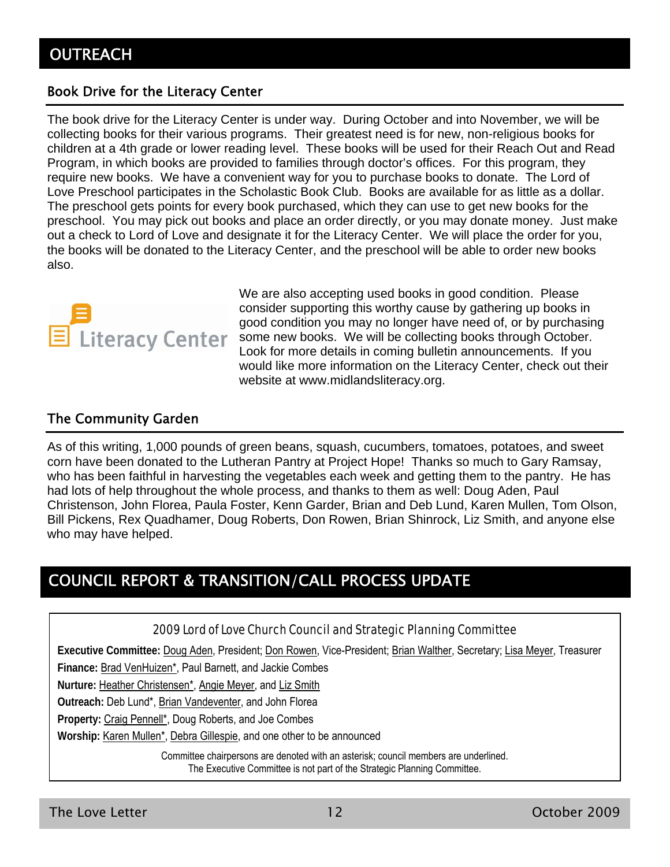### Book Drive for the Literacy Center

The book drive for the Literacy Center is under way. During October and into November, we will be collecting books for their various programs. Their greatest need is for new, non-religious books for children at a 4th grade or lower reading level. These books will be used for their Reach Out and Read Program, in which books are provided to families through doctor's offices. For this program, they require new books. We have a convenient way for you to purchase books to donate. The Lord of Love Preschool participates in the Scholastic Book Club. Books are available for as little as a dollar. The preschool gets points for every book purchased, which they can use to get new books for the preschool. You may pick out books and place an order directly, or you may donate money. Just make out a check to Lord of Love and designate it for the Literacy Center. We will place the order for you, the books will be donated to the Literacy Center, and the preschool will be able to order new books also.



We are also accepting used books in good condition. Please consider supporting this worthy cause by gathering up books in good condition you may no longer have need of, or by purchasing some new books. We will be collecting books through October. Look for more details in coming bulletin announcements. If you would like more information on the Literacy Center, check out their website at www.midlandsliteracy.org.

### The Community Garden

As of this writing, 1,000 pounds of green beans, squash, cucumbers, tomatoes, potatoes, and sweet corn have been donated to the Lutheran Pantry at Project Hope! Thanks so much to Gary Ramsay, who has been faithful in harvesting the vegetables each week and getting them to the pantry. He has had lots of help throughout the whole process, and thanks to them as well: Doug Aden, Paul Christenson, John Florea, Paula Foster, Kenn Garder, Brian and Deb Lund, Karen Mullen, Tom Olson, Bill Pickens, Rex Quadhamer, Doug Roberts, Don Rowen, Brian Shinrock, Liz Smith, and anyone else who may have helped.

# COUNCIL REPORT & TRANSITION/CALL PROCESS UPDATE

#### 2009 Lord of Love Church Council and Strategic Planning Committee

**Executive Committee:** Doug Aden, President; Don Rowen, Vice-President; Brian Walther, Secretary; Lisa Meyer, Treasurer

**Finance:** Brad VenHuizen\*, Paul Barnett, and Jackie Combes

**Nurture:** Heather Christensen\*, Angie Meyer, and Liz Smith

**Outreach:** Deb Lund\*, Brian Vandeventer, and John Florea

**Property:** Craig Pennell\*, Doug Roberts, and Joe Combes

**Worship:** Karen Mullen\*, Debra Gillespie, and one other to be announced

Committee chairpersons are denoted with an asterisk; council members are underlined. The Executive Committee is not part of the Strategic Planning Committee.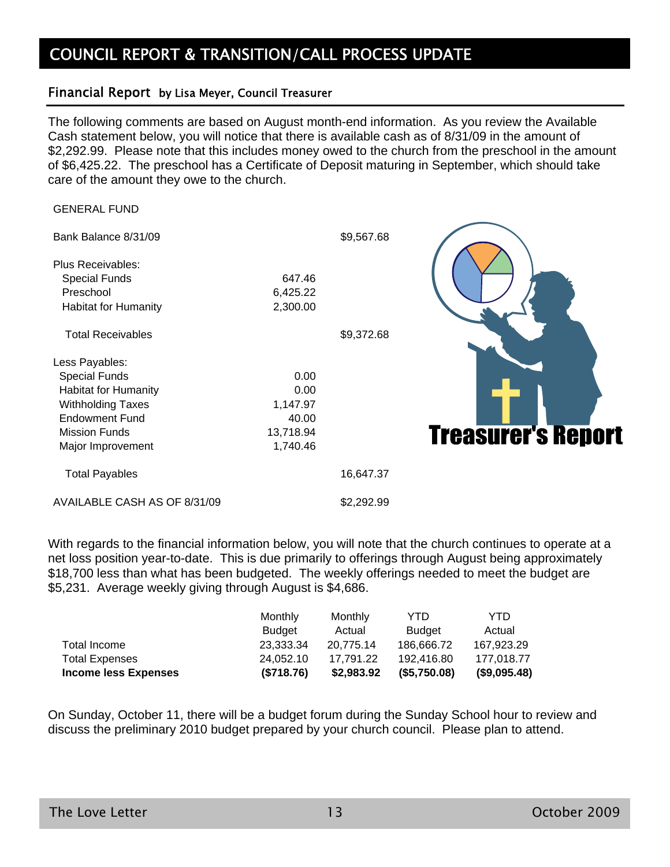# COUNCIL REPORT & TRANSITION/CALL PROCESS UPDATE

#### Financial Report by Lisa Meyer, Council Treasurer

The following comments are based on August month-end information. As you review the Available Cash statement below, you will notice that there is available cash as of 8/31/09 in the amount of \$2,292.99. Please note that this includes money owed to the church from the preschool in the amount of \$6,425.22. The preschool has a Certificate of Deposit maturing in September, which should take care of the amount they owe to the church.

\$9.567.68

GENERAL FUND

| Bank Balance 8/31/09 |  |
|----------------------|--|
|----------------------|--|

| <b>Plus Receivables:</b>    |          |
|-----------------------------|----------|
| <b>Special Funds</b>        | 647.46   |
| Preschool                   | 6,425.22 |
| <b>Habitat for Humanity</b> | 2.300.00 |
|                             |          |

Less Payables: Special Funds 0.00 Habitat for Humanity 0.00 Withholding Taxes 1,147.97 Endowment Fund 40.00 Mission Funds 13,718.94 Major Improvement 1,740.46 Total Payables 16,647.37

Total Receivables  $$9,372.68$ 



AVAILABLE CASH AS OF 8/31/09 \$2,292.99

With regards to the financial information below, you will note that the church continues to operate at a net loss position year-to-date. This is due primarily to offerings through August being approximately \$18,700 less than what has been budgeted. The weekly offerings needed to meet the budget are \$5,231. Average weekly giving through August is \$4,686.

|                             | <b>Monthly</b> | Monthly    | YTD.          | YTD          |
|-----------------------------|----------------|------------|---------------|--------------|
|                             | Budget         | Actual     | <b>Budget</b> | Actual       |
| Total Income                | 23.333.34      | 20.775.14  | 186.666.72    | 167.923.29   |
| <b>Total Expenses</b>       | 24.052.10      | 17.791.22  | 192.416.80    | 177.018.77   |
| <b>Income less Expenses</b> | (\$718.76)     | \$2,983.92 | (\$5,750.08)  | (\$9,095.48) |

On Sunday, October 11, there will be a budget forum during the Sunday School hour to review and discuss the preliminary 2010 budget prepared by your church council. Please plan to attend.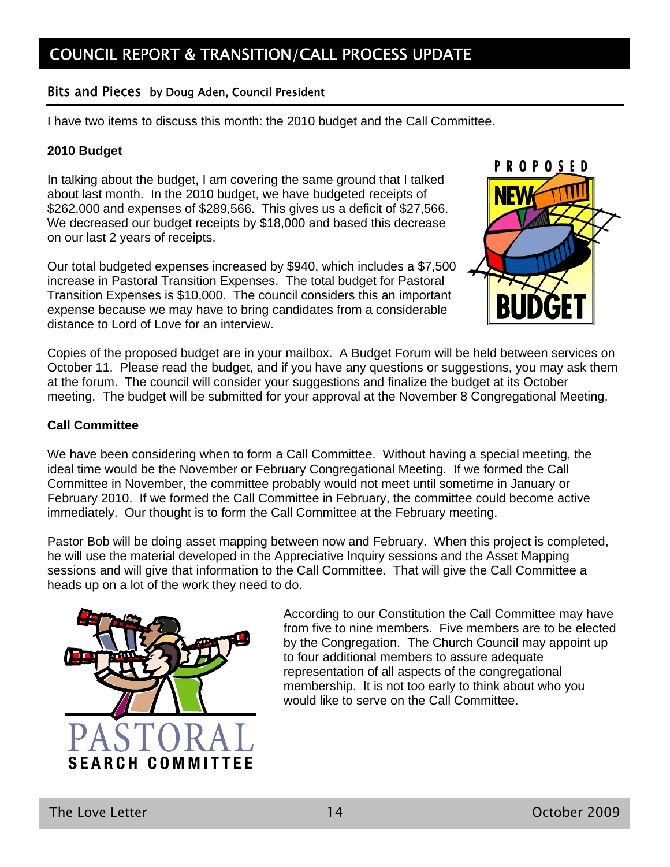#### Bits and Pieces by Doug Aden, Council President

I have two items to discuss this month: the 2010 budget and the Call Committee.

#### **2010 Budget**

In talking about the budget, I am covering the same ground that I talked about last month. In the 2010 budget, we have budgeted receipts of \$262,000 and expenses of \$289,566. This gives us a deficit of \$27,566. We decreased our budget receipts by \$18,000 and based this decrease on our last 2 years of receipts.

Our total budgeted expenses increased by \$940, which includes a \$7,500 increase in Pastoral Transition Expenses. The total budget for Pastoral Transition Expenses is \$10,000. The council considers this an important expense because we may have to bring candidates from a considerable distance to Lord of Love for an interview.



Copies of the proposed budget are in your mailbox. A Budget Forum will be held between services on October 11. Please read the budget, and if you have any questions or suggestions, you may ask them at the forum. The council will consider your suggestions and finalize the budget at its October meeting. The budget will be submitted for your approval at the November 8 Congregational Meeting.

#### **Call Committee**

We have been considering when to form a Call Committee. Without having a special meeting, the ideal time would be the November or February Congregational Meeting. If we formed the Call Committee in November, the committee probably would not meet until sometime in January or February 2010. If we formed the Call Committee in February, the committee could become active immediately. Our thought is to form the Call Committee at the February meeting.

Pastor Bob will be doing asset mapping between now and February. When this project is completed, he will use the material developed in the Appreciative Inquiry sessions and the Asset Mapping sessions and will give that information to the Call Committee. That will give the Call Committee a heads up on a lot of the work they need to do.



According to our Constitution the Call Committee may have from five to nine members. Five members are to be elected by the Congregation. The Church Council may appoint up to four additional members to assure adequate representation of all aspects of the congregational membership. It is not too early to think about who you would like to serve on the Call Committee.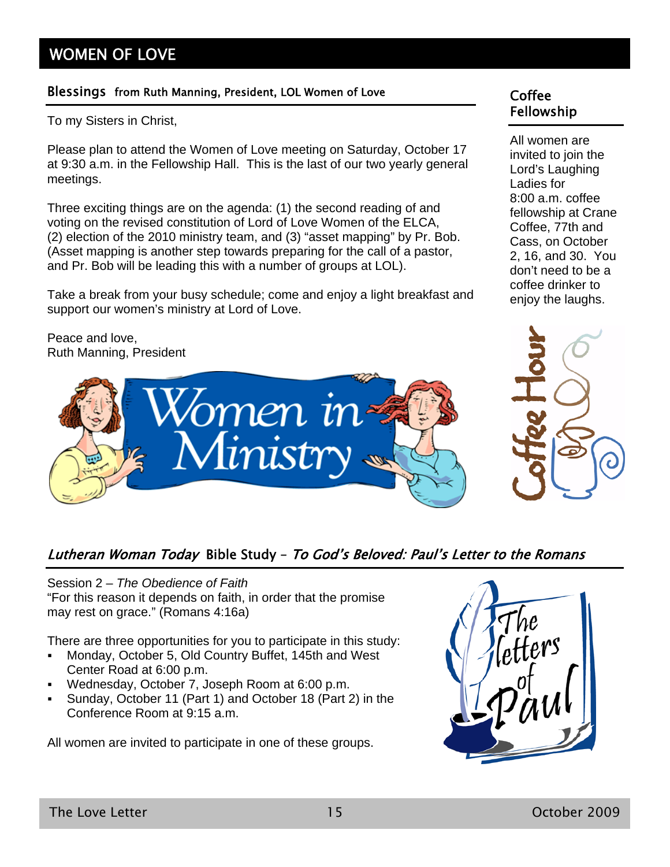# WOMEN OF LOVE

### Blessings from Ruth Manning, President, LOL Women of Love Coffee

To my Sisters in Christ,

Please plan to attend the Women of Love meeting on Saturday, October 17 at 9:30 a.m. in the Fellowship Hall. This is the last of our two yearly general meetings.

Three exciting things are on the agenda: (1) the second reading of and voting on the revised constitution of Lord of Love Women of the ELCA, (2) election of the 2010 ministry team, and (3) "asset mapping" by Pr. Bob. (Asset mapping is another step towards preparing for the call of a pastor, and Pr. Bob will be leading this with a number of groups at LOL).

Take a break from your busy schedule; come and enjoy a light breakfast and support our women's ministry at Lord of Love.

Peace and love, Ruth Manning, President



### Lutheran Woman Today Bible Study – To God's Beloved: Paul's Letter to the Romans

Session 2 – *The Obedience of Faith* "For this reason it depends on faith, in order that the promise may rest on grace." (Romans 4:16a)

There are three opportunities for you to participate in this study:

- Monday, October 5, Old Country Buffet, 145th and West Center Road at 6:00 p.m.
- Wednesday, October 7, Joseph Room at 6:00 p.m.
- Sunday, October 11 (Part 1) and October 18 (Part 2) in the Conference Room at 9:15 a.m.

All women are invited to participate in one of these groups.



All women are invited to join the Lord's Laughing Ladies for 8:00 a.m. coffee fellowship at Crane Coffee, 77th and Cass, on October 2, 16, and 30. You don't need to be a coffee drinker to enjoy the laughs.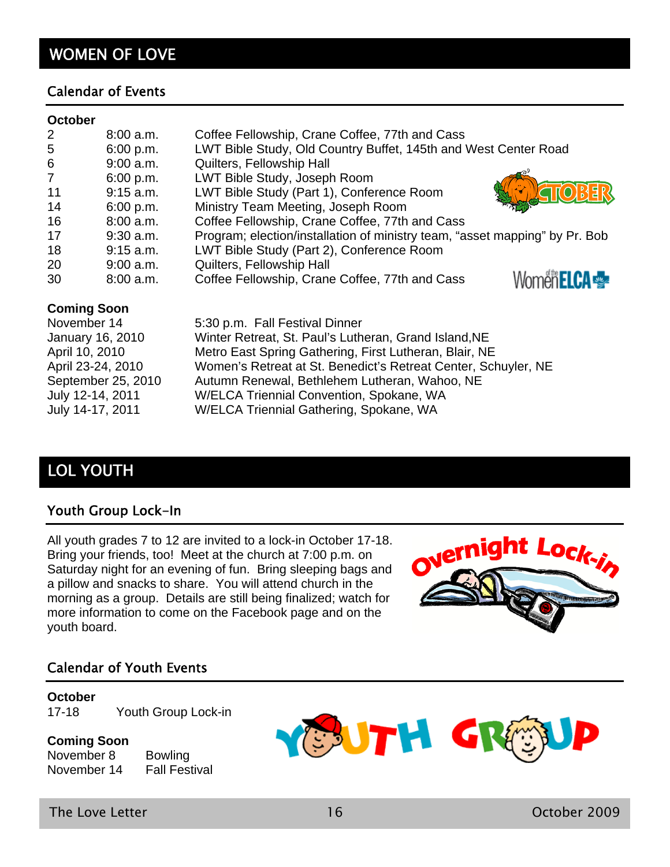# WOMEN OF LOVE

#### Calendar of Events

#### **October**

| 2              | 8:00 a.m.   | Coffee Fellowship, Crane Coffee, 77th and Cass                              |
|----------------|-------------|-----------------------------------------------------------------------------|
| 5              | 6:00 p.m.   | LWT Bible Study, Old Country Buffet, 145th and West Center Road             |
| 6              | $9:00$ a.m. | Quilters, Fellowship Hall                                                   |
| $\overline{7}$ | 6:00 p.m.   | LWT Bible Study, Joseph Room                                                |
| 11             | $9:15$ a.m. | LWT Bible Study (Part 1), Conference Room                                   |
| 14             | 6:00 p.m.   | Ministry Team Meeting, Joseph Room                                          |
| 16             | $8:00$ a.m. | Coffee Fellowship, Crane Coffee, 77th and Cass                              |
| 17             | $9:30$ a.m. | Program; election/installation of ministry team, "asset mapping" by Pr. Bob |
| 18             | $9:15$ a.m. | LWT Bible Study (Part 2), Conference Room                                   |
| 20             | $9:00$ a.m. | Quilters, Fellowship Hall                                                   |
| 30             | 8:00 a.m.   | Coffee Fellowship, Crane Coffee, 77th and Cass                              |

#### **Coming Soon**

| November 14        | 5:30 p.m. Fall Festival Dinner                                 |
|--------------------|----------------------------------------------------------------|
| January 16, 2010   | Winter Retreat, St. Paul's Lutheran, Grand Island, NE          |
| April 10, 2010     | Metro East Spring Gathering, First Lutheran, Blair, NE         |
| April 23-24, 2010  | Women's Retreat at St. Benedict's Retreat Center, Schuyler, NE |
| September 25, 2010 | Autumn Renewal, Bethlehem Lutheran, Wahoo, NE                  |
| July 12-14, 2011   | W/ELCA Triennial Convention, Spokane, WA                       |
| July 14-17, 2011   | W/ELCA Triennial Gathering, Spokane, WA                        |

# LOL YOUTH

### Youth Group Lock-In

All youth grades 7 to 12 are invited to a lock-in October 17-18. Bring your friends, too! Meet at the church at 7:00 p.m. on Saturday night for an evening of fun. Bring sleeping bags and a pillow and snacks to share. You will attend church in the morning as a group. Details are still being finalized; watch for more information to come on the Facebook page and on the youth board.



#### Calendar of Youth Events

#### **October**

17-18 Youth Group Lock-in

#### **Coming Soon**

November 8 Bowling November 14 Fall Festival



The Love Letter 16 October 2009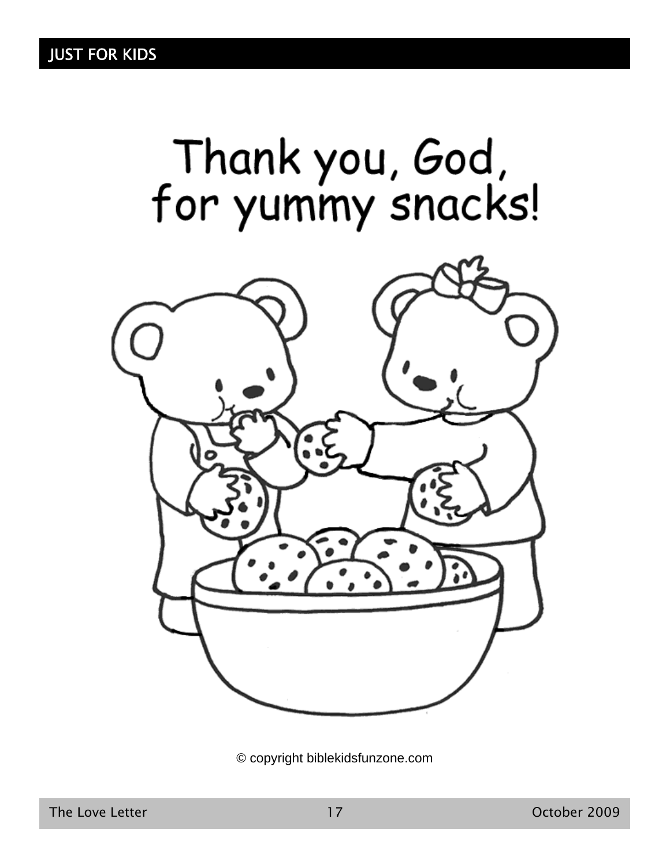

© copyright biblekidsfunzone.com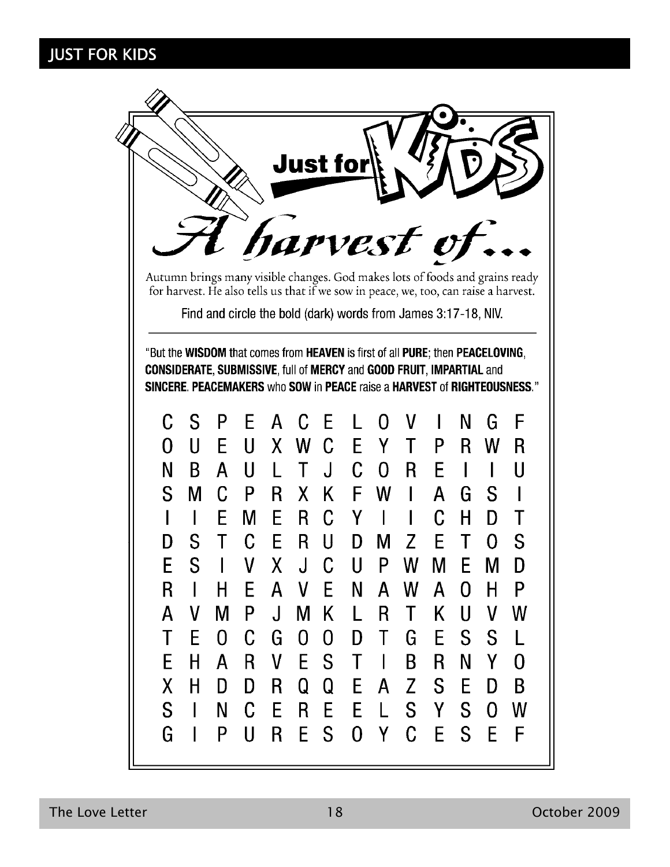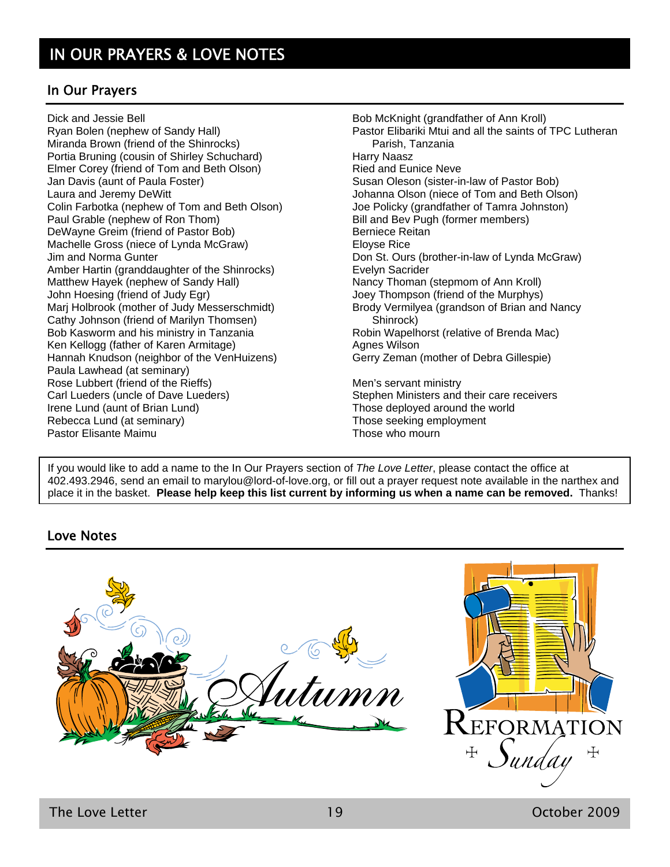### In Our Prayers

Dick and Jessie Bell Ryan Bolen (nephew of Sandy Hall) Miranda Brown (friend of the Shinrocks) Portia Bruning (cousin of Shirley Schuchard) Elmer Corey (friend of Tom and Beth Olson) Jan Davis (aunt of Paula Foster) Laura and Jeremy DeWitt Colin Farbotka (nephew of Tom and Beth Olson) Paul Grable (nephew of Ron Thom) DeWayne Greim (friend of Pastor Bob) Machelle Gross (niece of Lynda McGraw) Jim and Norma Gunter Amber Hartin (granddaughter of the Shinrocks) Matthew Hayek (nephew of Sandy Hall) John Hoesing (friend of Judy Egr) Marj Holbrook (mother of Judy Messerschmidt) Cathy Johnson (friend of Marilyn Thomsen) Bob Kasworm and his ministry in Tanzania Ken Kellogg (father of Karen Armitage) Hannah Knudson (neighbor of the VenHuizens) Paula Lawhead (at seminary) Rose Lubbert (friend of the Rieffs) Carl Lueders (uncle of Dave Lueders) Irene Lund (aunt of Brian Lund) Rebecca Lund (at seminary) Pastor Elisante Maimu

Bob McKnight (grandfather of Ann Kroll) Pastor Elibariki Mtui and all the saints of TPC Lutheran Parish, Tanzania Harry Naasz Ried and Eunice Neve Susan Oleson (sister-in-law of Pastor Bob) Johanna Olson (niece of Tom and Beth Olson) Joe Policky (grandfather of Tamra Johnston) Bill and Bev Pugh (former members) Berniece Reitan Eloyse Rice Don St. Ours (brother-in-law of Lynda McGraw) Evelyn Sacrider Nancy Thoman (stepmom of Ann Kroll) Joey Thompson (friend of the Murphys) Brody Vermilyea (grandson of Brian and Nancy Shinrock) Robin Wapelhorst (relative of Brenda Mac) Agnes Wilson Gerry Zeman (mother of Debra Gillespie) Men's servant ministry Stephen Ministers and their care receivers Those deployed around the world Those seeking employment

Those who mourn

If you would like to add a name to the In Our Prayers section of *The Love Letter*, please contact the office at 402.493.2946, send an email to marylou@lord-of-love.org, or fill out a prayer request note available in the narthex and place it in the basket. **Please help keep this list current by informing us when a name can be removed.** Thanks!

### Love Notes